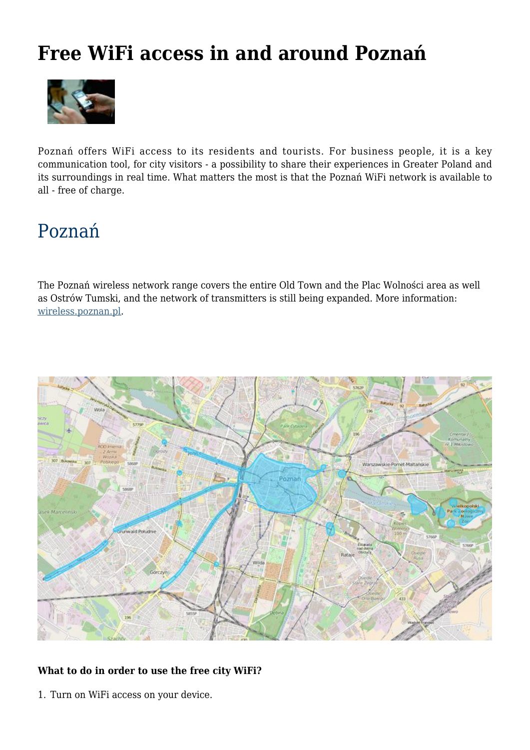## **Free WiFi access in and around Poznań**



Poznań offers WiFi access to its residents and tourists. For business people, it is a key c[ommunication](http://poznan.travel/media/images/main/142net.jpg) tool, for city visitors - a possibility to share their experiences in Greater Poland and its surroundings in real time. What matters the most is that the Poznań WiFi network is available to all - free of charge.

# Poznań

The Poznań wireless network range covers the entire Old Town and the Plac Wolności area as well as Ostrów Tumski, and the network of transmitters is still being expanded. More information: wireless.poznan.pl.



## **[What to do in order to use the free city WiFi?](http://www.poznan.pl/mim/plan/plan.html?mtype=wireless)**

1. Turn on WiFi access on your device.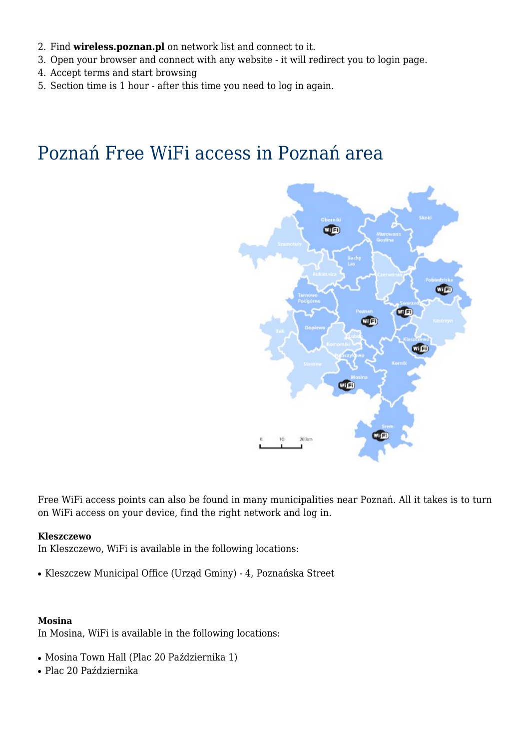- 2. Find **wireless.poznan.pl** on network list and connect to it.
- 3. Open your browser and connect with any website it will redirect you to login page.
- 4. Accept terms and start browsing
- 5. Section time is 1 hour after this time you need to log in again.

## Poznań Free WiFi access in Poznań area



Free WiFi access points can also be found in many municipalities near Poznań. All it takes is to turn on WiFi access on your device, find the right network and log in.

#### **Kleszczewo**

In Kleszczewo, WiFi is available in the following locations:

● Kleszczew Municipal Office (Urząd Gminy) - 4, Poznańska Street

#### **Mosina**

In Mosina, WiFi is available in the following locations:

- Mosina Town Hall (Plac 20 Października 1)
- Plac 20 Października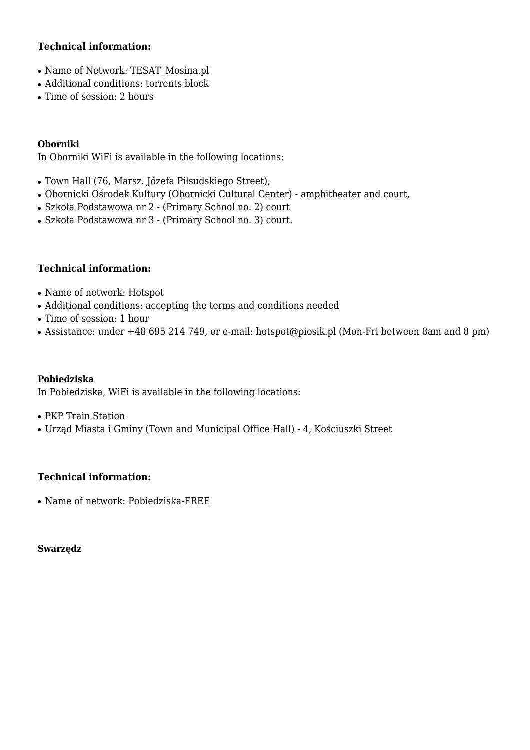## **Technical information:**

- Name of Network: TESAT\_Mosina.pl
- Additional conditions: torrents block
- Time of session: 2 hours

#### **Oborniki**

In Oborniki WiFi is available in the following locations:

- Town Hall (76, Marsz. Józefa Piłsudskiego Street),
- Obornicki Ośrodek Kultury (Obornicki Cultural Center) amphitheater and court,
- Szkoła Podstawowa nr 2 (Primary School no. 2) court
- Szkoła Podstawowa nr 3 (Primary School no. 3) court.

### **Technical information:**

- Name of network: Hotspot
- Additional conditions: accepting the terms and conditions needed
- Time of session: 1 hour
- Assistance: under +48 695 214 749, or e-mail: hotspot@piosik.pl (Mon-Fri between 8am and 8 pm)

#### **Pobiedziska**

In Pobiedziska, WiFi is available in the following locations:

• PKP Train Station

• Urząd Miasta i Gminy (Town and Municipal Office Hall) - 4, Kościuszki Street

### **Technical information:**

• Name of network: Pobiedziska-FREE

#### **Swarzędz**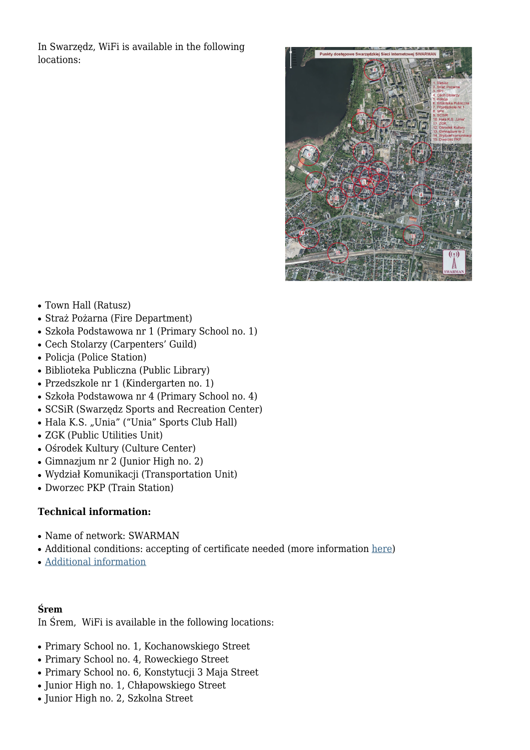In Swarzędz, WiFi is available in the following locations:



- Town Hall (Ratusz)
- Straż Pożarna (Fire Department)
- Szkoła Podstawowa nr 1 (Primary School no. 1)
- Cech Stolarzy (Carpenters' Guild)
- Policja (Police Station)
- Biblioteka Publiczna (Public Library)
- Przedszkole nr 1 (Kindergarten no. 1)
- Szkoła Podstawowa nr 4 (Primary School no. 4)
- SCSiR (Swarzędz Sports and Recreation Center)
- Hala K.S. "Unia" ("Unia" Sports Club Hall)
- ZGK (Public Utilities Unit)
- Ośrodek Kultury (Culture Center)
- Gimnazjum nr 2 (Junior High no. 2)
- Wydział Komunikacji (Transportation Unit)
- Dworzec PKP (Train Station)

### **Technical information:**

- Name of network: SWARMAN
- Additional conditions: accepting of certificate needed (more information here)
- Additional information

### **Ś[rem](http://swarzedz.pl/index.php?id=175)**

In Śrem, WiFi is available in the following locations:

- Primary School no. 1, Kochanowskiego Street
- Primary School no. 4, Roweckiego Street
- Primary School no. 6, Konstytucji 3 Maja Street
- Junior High no. 1, Chłapowskiego Street
- Junior High no. 2, Szkolna Street